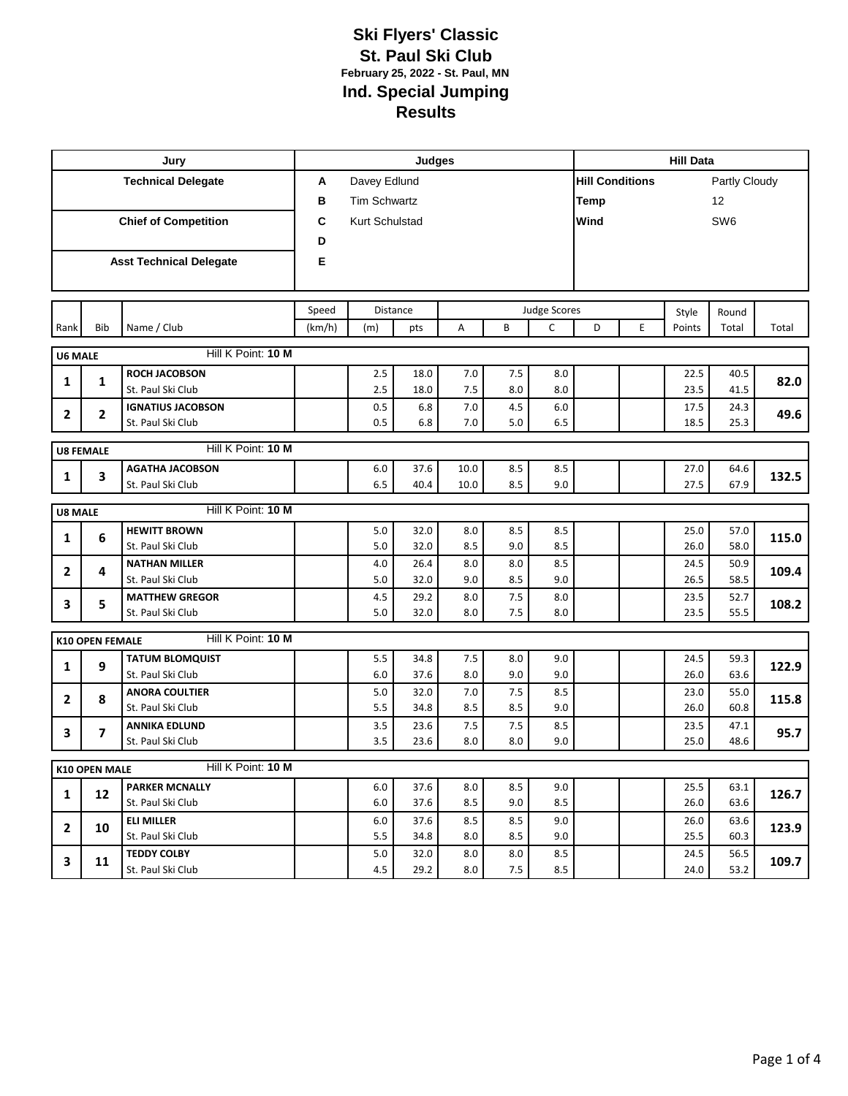|                |                                        | Jury                                      |        |                     | Judges       |            | <b>Hill Data</b> |            |                        |                   |              |                 |       |  |  |
|----------------|----------------------------------------|-------------------------------------------|--------|---------------------|--------------|------------|------------------|------------|------------------------|-------------------|--------------|-----------------|-------|--|--|
|                |                                        | <b>Technical Delegate</b>                 | Α      | Davey Edlund        |              |            |                  |            | <b>Hill Conditions</b> |                   |              | Partly Cloudy   |       |  |  |
|                |                                        |                                           | в      | <b>Tim Schwartz</b> |              |            |                  |            |                        | <b>Temp</b><br>12 |              |                 |       |  |  |
|                |                                        | <b>Chief of Competition</b>               | C      | Kurt Schulstad      |              |            |                  |            | Wind                   |                   |              | SW <sub>6</sub> |       |  |  |
|                |                                        |                                           | D      |                     |              |            |                  |            |                        |                   |              |                 |       |  |  |
|                |                                        | <b>Asst Technical Delegate</b>            | E      |                     |              |            |                  |            |                        |                   |              |                 |       |  |  |
|                |                                        |                                           |        |                     |              |            |                  |            |                        |                   |              |                 |       |  |  |
|                |                                        |                                           |        |                     |              |            |                  |            |                        |                   |              |                 |       |  |  |
|                |                                        |                                           | Speed  |                     | Distance     |            | Judge Scores     |            |                        |                   | Style        | Round           |       |  |  |
| Rank           | Bib                                    | Name / Club                               | (km/h) | (m)                 | pts          | A          | B                | C          | D                      | E                 | Points       | Total           | Total |  |  |
| <b>U6 MALE</b> |                                        | Hill K Point: 10 M                        |        |                     |              |            |                  |            |                        |                   |              |                 |       |  |  |
| 1              | $\mathbf{1}$                           | <b>ROCH JACOBSON</b>                      |        | 2.5                 | 18.0         | 7.0        | 7.5              | 8.0        |                        |                   | 22.5         | 40.5            | 82.0  |  |  |
|                |                                        | St. Paul Ski Club                         |        | 2.5                 | 18.0         | 7.5        | 8.0              | 8.0        |                        |                   | 23.5         | 41.5            |       |  |  |
| 2              | $\mathbf{2}$                           | <b>IGNATIUS JACOBSON</b>                  |        | 0.5                 | 6.8          | 7.0        | 4.5              | 6.0        |                        |                   | 17.5         | 24.3            | 49.6  |  |  |
|                |                                        | St. Paul Ski Club                         |        | 0.5                 | 6.8          | 7.0        | 5.0              | 6.5        |                        |                   | 18.5         | 25.3            |       |  |  |
|                | Hill K Point: 10 M<br><b>U8 FEMALE</b> |                                           |        |                     |              |            |                  |            |                        |                   |              |                 |       |  |  |
| 1              | 3                                      | <b>AGATHA JACOBSON</b>                    |        | 6.0                 | 37.6         | 10.0       | 8.5              | 8.5        |                        |                   | 27.0         | 64.6            | 132.5 |  |  |
|                |                                        | St. Paul Ski Club                         |        | 6.5                 | 40.4         | 10.0       | 8.5              | 9.0        |                        |                   | 27.5         | 67.9            |       |  |  |
| <b>U8 MALE</b> |                                        | Hill K Point: 10 M                        |        |                     |              |            |                  |            |                        |                   |              |                 |       |  |  |
|                |                                        | <b>HEWITT BROWN</b>                       |        | 5.0                 | 32.0         | 8.0        | 8.5              | 8.5        |                        |                   | 25.0         | 57.0            |       |  |  |
| 1              | 6                                      | St. Paul Ski Club                         |        | 5.0                 | 32.0         | 8.5        | 9.0              | 8.5        |                        |                   | 26.0         | 58.0            | 115.0 |  |  |
| $\overline{2}$ | 4                                      | <b>NATHAN MILLER</b>                      |        | 4.0                 | 26.4         | 8.0        | 8.0              | 8.5        |                        |                   | 24.5         | 50.9            | 109.4 |  |  |
|                |                                        | St. Paul Ski Club                         |        | 5.0                 | 32.0         | 9.0        | 8.5              | 9.0        |                        |                   | 26.5         | 58.5            |       |  |  |
| 3              | 5                                      | <b>MATTHEW GREGOR</b>                     |        | 4.5                 | 29.2         | 8.0        | 7.5              | 8.0        |                        |                   | 23.5<br>23.5 | 52.7<br>55.5    | 108.2 |  |  |
|                |                                        | St. Paul Ski Club                         |        | 5.0                 | 32.0         | 8.0        | 7.5              | 8.0        |                        |                   |              |                 |       |  |  |
|                | <b>K10 OPEN FEMALE</b>                 | Hill K Point: 10 M                        |        |                     |              |            |                  |            |                        |                   |              |                 |       |  |  |
| 1              | 9                                      | <b>TATUM BLOMQUIST</b>                    |        | 5.5                 | 34.8         | 7.5        | 8.0              | 9.0        |                        |                   | 24.5         | 59.3            | 122.9 |  |  |
|                |                                        | St. Paul Ski Club                         |        | 6.0                 | 37.6         | 8.0        | 9.0              | 9.0        |                        |                   | 26.0         | 63.6            |       |  |  |
| $\overline{2}$ | 8                                      | <b>ANORA COULTIER</b>                     |        | 5.0                 | 32.0         | 7.0        | 7.5              | 8.5        |                        |                   | 23.0         | 55.0            | 115.8 |  |  |
|                |                                        | St. Paul Ski Club<br><b>ANNIKA EDLUND</b> |        | 5.5<br>3.5          | 34.8<br>23.6 | 8.5<br>7.5 | 8.5<br>7.5       | 9.0<br>8.5 |                        |                   | 26.0<br>23.5 | 60.8<br>47.1    |       |  |  |
| 3              | $\overline{ }$                         | St. Paul Ski Club                         |        | 3.5                 | 23.6         | 8.0        | 8.0              | 9.0        |                        |                   | 25.0         | 48.6            | 95.7  |  |  |
|                |                                        |                                           |        |                     |              |            |                  |            |                        |                   |              |                 |       |  |  |
|                | K10 OPEN MALE                          | Hill K Point: 10 M                        |        |                     |              |            |                  |            |                        |                   |              |                 |       |  |  |
| $\mathbf{1}$   | 12                                     | <b>PARKER MCNALLY</b>                     |        | 6.0                 | 37.6         | 8.0        | 8.5              | 9.0        |                        |                   | 25.5         | 63.1            | 126.7 |  |  |
|                |                                        | St. Paul Ski Club                         |        | 6.0                 | 37.6         | 8.5        | 9.0              | 8.5        |                        |                   | 26.0         | 63.6            |       |  |  |
| $\mathbf{2}$   | 10                                     | ELI MILLER<br>St. Paul Ski Club           |        | 6.0<br>5.5          | 37.6<br>34.8 | 8.5<br>8.0 | 8.5<br>8.5       | 9.0<br>9.0 |                        |                   | 26.0<br>25.5 | 63.6<br>60.3    | 123.9 |  |  |
|                |                                        | <b>TEDDY COLBY</b>                        |        | 5.0                 | 32.0         | 8.0        | 8.0              | 8.5        |                        |                   | 24.5         | 56.5            |       |  |  |
| 3              | 11                                     | St. Paul Ski Club                         |        | 4.5                 | 29.2         | 8.0        | 7.5              | 8.5        |                        |                   | 24.0         | 53.2            | 109.7 |  |  |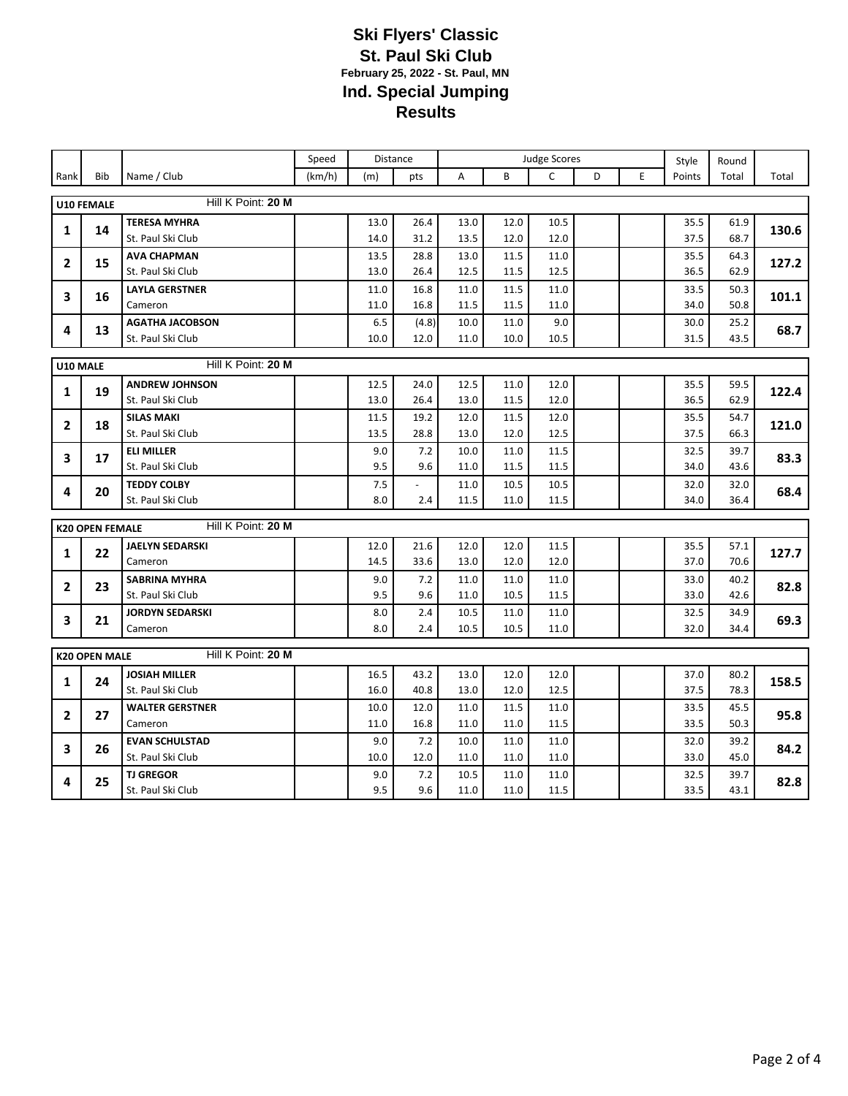|                                |                        |                        | Speed  |              | Distance     | <b>Judge Scores</b> |              |              |   | Style | Round        |              |       |
|--------------------------------|------------------------|------------------------|--------|--------------|--------------|---------------------|--------------|--------------|---|-------|--------------|--------------|-------|
| Rank                           | <b>Bib</b>             | Name / Club            | (km/h) | (m)          | pts          | A                   | B            | C            | D | E     | Points       | Total        | Total |
|                                |                        | Hill K Point: 20 M     |        |              |              |                     |              |              |   |       |              |              |       |
|                                | U10 FEMALE             | <b>TERESA MYHRA</b>    |        |              | 26.4         | 13.0                |              |              |   |       |              |              |       |
| 1                              | 14                     | St. Paul Ski Club      |        | 13.0<br>14.0 | 31.2         | 13.5                | 12.0<br>12.0 | 10.5<br>12.0 |   |       | 35.5<br>37.5 | 61.9<br>68.7 | 130.6 |
|                                |                        | <b>AVA CHAPMAN</b>     |        |              |              |                     |              |              |   |       |              |              |       |
| $\mathbf{2}$                   | 15                     | St. Paul Ski Club      |        | 13.5<br>13.0 | 28.8<br>26.4 | 13.0<br>12.5        | 11.5<br>11.5 | 11.0<br>12.5 |   |       | 35.5<br>36.5 | 64.3<br>62.9 | 127.2 |
|                                |                        | <b>LAYLA GERSTNER</b>  |        | 11.0         | 16.8         | 11.0                | 11.5         | 11.0         |   |       | 33.5         | 50.3         |       |
| 3                              | 16                     | Cameron                |        | 11.0         | 16.8         | 11.5                | 11.5         | 11.0         |   |       | 34.0         | 50.8         | 101.1 |
|                                |                        | <b>AGATHA JACOBSON</b> |        | 6.5          | (4.8)        | 10.0                | 11.0         | 9.0          |   |       | 30.0         | 25.2         |       |
| 4                              | 13                     | St. Paul Ski Club      |        | 10.0         | 12.0         | 11.0                | 10.0         | 10.5         |   |       | 31.5         | 43.5         | 68.7  |
|                                |                        |                        |        |              |              |                     |              |              |   |       |              |              |       |
| Hill K Point: 20 M<br>U10 MALE |                        |                        |        |              |              |                     |              |              |   |       |              |              |       |
| 1                              | 19                     | <b>ANDREW JOHNSON</b>  |        | 12.5         | 24.0         | 12.5                | 11.0         | 12.0         |   |       | 35.5         | 59.5         | 122.4 |
|                                |                        | St. Paul Ski Club      |        | 13.0         | 26.4         | 13.0                | 11.5         | 12.0         |   |       | 36.5         | 62.9         |       |
| $\overline{2}$                 | 18                     | <b>SILAS MAKI</b>      |        | 11.5         | 19.2         | 12.0                | 11.5         | 12.0         |   |       | 35.5         | 54.7         | 121.0 |
|                                |                        | St. Paul Ski Club      |        | 13.5         | 28.8         | 13.0                | 12.0         | 12.5         |   |       | 37.5         | 66.3         |       |
| 3                              | 17                     | <b>ELI MILLER</b>      |        | 9.0          | 7.2          | 10.0                | 11.0         | 11.5         |   |       | 32.5         | 39.7         | 83.3  |
|                                |                        | St. Paul Ski Club      |        | 9.5          | 9.6          | 11.0                | 11.5         | 11.5         |   |       | 34.0         | 43.6         |       |
| 4                              | 20                     | <b>TEDDY COLBY</b>     |        | 7.5          |              | 11.0                | 10.5         | 10.5         |   |       | 32.0         | 32.0         | 68.4  |
|                                |                        | St. Paul Ski Club      |        | 8.0          | 2.4          | 11.5                | 11.0         | 11.5         |   |       | 34.0         | 36.4         |       |
|                                | <b>K20 OPEN FEMALE</b> | Hill K Point: 20 M     |        |              |              |                     |              |              |   |       |              |              |       |
|                                |                        | <b>JAELYN SEDARSKI</b> |        | 12.0         | 21.6         | 12.0                | 12.0         | 11.5         |   |       | 35.5         | 57.1         |       |
| 1                              | 22                     | Cameron                |        | 14.5         | 33.6         | 13.0                | 12.0         | 12.0         |   |       | 37.0         | 70.6         | 127.7 |
|                                |                        | <b>SABRINA MYHRA</b>   |        | 9.0          | 7.2          | 11.0                | 11.0         | 11.0         |   |       | 33.0         | 40.2         |       |
| $\mathbf{2}$                   | 23                     | St. Paul Ski Club      |        | 9.5          | 9.6          | 11.0                | 10.5         | 11.5         |   |       | 33.0         | 42.6         | 82.8  |
|                                |                        | <b>JORDYN SEDARSKI</b> |        | 8.0          | 2.4          | 10.5                | 11.0         | 11.0         |   |       | 32.5         | 34.9         |       |
| 3                              | 21                     | Cameron                |        | 8.0          | 2.4          | 10.5                | 10.5         | 11.0         |   |       | 32.0         | 34.4         | 69.3  |
|                                | <b>K20 OPEN MALE</b>   | Hill K Point: 20 M     |        |              |              |                     |              |              |   |       |              |              |       |
|                                |                        | <b>JOSIAH MILLER</b>   |        | 16.5         | 43.2         | 13.0                | 12.0         | 12.0         |   |       | 37.0         | 80.2         |       |
| 1                              | 24                     | St. Paul Ski Club      |        | 16.0         | 40.8         | 13.0                | 12.0         | 12.5         |   |       | 37.5         | 78.3         | 158.5 |
|                                |                        | <b>WALTER GERSTNER</b> |        | 10.0         | 12.0         | 11.0                | 11.5         | 11.0         |   |       | 33.5         | 45.5         |       |
| $\mathbf{2}$                   | 27                     | Cameron                |        | 11.0         | 16.8         | 11.0                | 11.0         | 11.5         |   |       | 33.5         | 50.3         | 95.8  |
|                                |                        | <b>EVAN SCHULSTAD</b>  |        | 9.0          | 7.2          | 10.0                | 11.0         | 11.0         |   |       | 32.0         | 39.2         |       |
| 3                              | 26                     | St. Paul Ski Club      |        | 10.0         | 12.0         | 11.0                | 11.0         | 11.0         |   |       | 33.0         | 45.0         | 84.2  |
|                                |                        | <b>TJ GREGOR</b>       |        | 9.0          | 7.2          | 10.5                | 11.0         | 11.0         |   |       | 32.5         | 39.7         |       |
| 4                              | 25                     | St. Paul Ski Club      |        | 9.5          | 9.6          | 11.0                | 11.0         | 11.5         |   |       | 33.5         | 43.1         | 82.8  |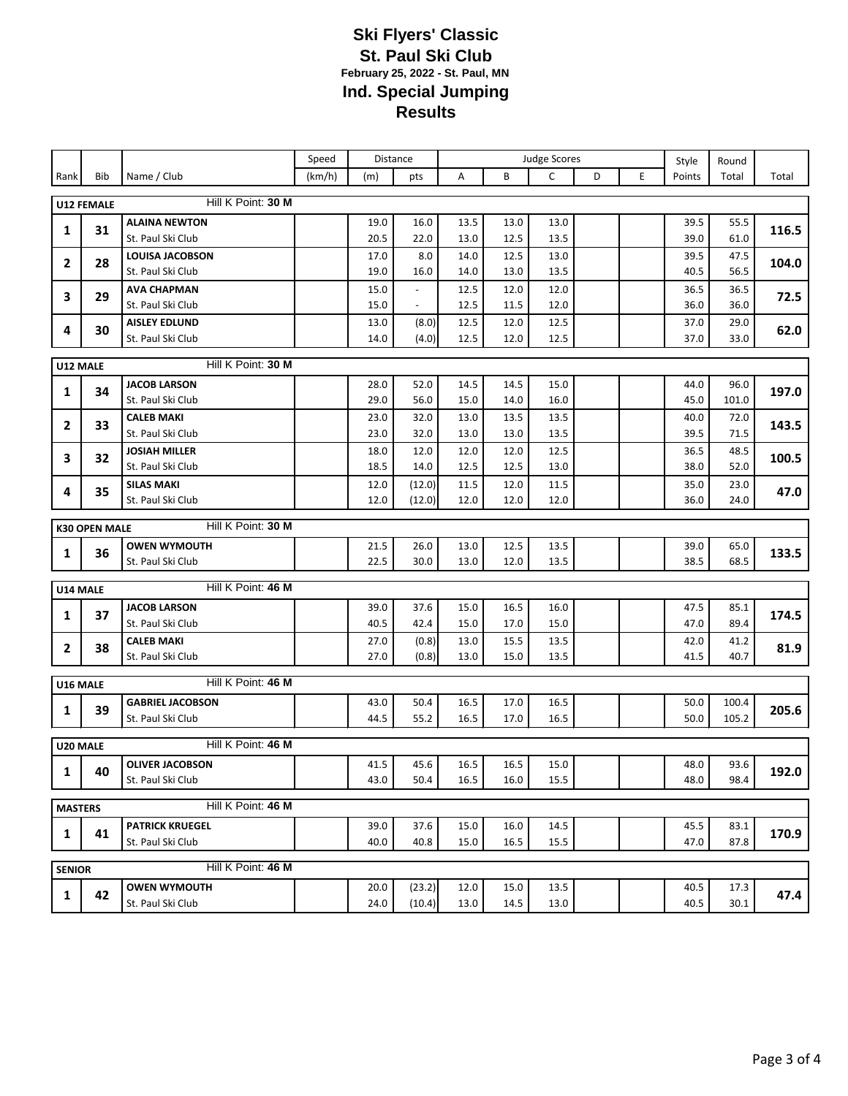|                |                      |                                             | Speed  |              | Distance                 | Judge Scores |              |              |   | Style | Round        |              |       |
|----------------|----------------------|---------------------------------------------|--------|--------------|--------------------------|--------------|--------------|--------------|---|-------|--------------|--------------|-------|
| Rank           | Bib                  | Name / Club                                 | (km/h) | (m)          | pts                      | A            | B            | $\mathsf{C}$ | D | E     | Points       | Total        | Total |
|                | U12 FEMALE           | Hill K Point: 30 M                          |        |              |                          |              |              |              |   |       |              |              |       |
|                |                      | <b>ALAINA NEWTON</b>                        |        | 19.0         | 16.0                     | 13.5         | 13.0         | 13.0         |   |       | 39.5         | 55.5         |       |
| 1              | 31                   | St. Paul Ski Club                           |        | 20.5         | 22.0                     | 13.0         | 12.5         | 13.5         |   |       | 39.0         | 61.0         | 116.5 |
|                |                      | <b>LOUISA JACOBSON</b>                      |        | 17.0         | 8.0                      | 14.0         | 12.5         | 13.0         |   |       | 39.5         | 47.5         |       |
| 2              | 28                   | St. Paul Ski Club                           |        | 19.0         | 16.0                     | 14.0         | 13.0         | 13.5         |   |       | 40.5         | 56.5         | 104.0 |
| 3              | 29                   | <b>AVA CHAPMAN</b>                          |        | 15.0         | $\overline{\phantom{a}}$ | 12.5         | 12.0         | 12.0         |   |       | 36.5         | 36.5         | 72.5  |
|                |                      | St. Paul Ski Club                           |        | 15.0         | $\overline{\phantom{a}}$ | 12.5         | 11.5         | 12.0         |   |       | 36.0         | 36.0         |       |
| 4              | 30                   | <b>AISLEY EDLUND</b>                        |        | 13.0         | (8.0)                    | 12.5         | 12.0         | 12.5         |   |       | 37.0         | 29.0         | 62.0  |
|                |                      | St. Paul Ski Club                           |        | 14.0         | (4.0)                    | 12.5         | 12.0         | 12.5         |   |       | 37.0         | 33.0         |       |
| U12 MALE       |                      | Hill K Point: 30 M                          |        |              |                          |              |              |              |   |       |              |              |       |
| 1              | 34                   | <b>JACOB LARSON</b>                         |        | 28.0         | 52.0                     | 14.5         | 14.5         | 15.0         |   |       | 44.0         | 96.0         | 197.0 |
|                |                      | St. Paul Ski Club                           |        | 29.0         | 56.0                     | 15.0         | 14.0         | 16.0         |   |       | 45.0         | 101.0        |       |
| $\mathbf{2}$   | 33                   | <b>CALEB MAKI</b>                           |        | 23.0         | 32.0                     | 13.0         | 13.5         | 13.5         |   |       | 40.0         | 72.0         | 143.5 |
|                |                      | St. Paul Ski Club                           |        | 23.0         | 32.0                     | 13.0         | 13.0         | 13.5         |   |       | 39.5         | 71.5         |       |
| 3              | 32                   | <b>JOSIAH MILLER</b>                        |        | 18.0         | 12.0                     | 12.0         | 12.0         | 12.5         |   |       | 36.5         | 48.5         | 100.5 |
|                |                      | St. Paul Ski Club<br><b>SILAS MAKI</b>      |        | 18.5         | 14.0                     | 12.5<br>11.5 | 12.5<br>12.0 | 13.0         |   |       | 38.0<br>35.0 | 52.0         |       |
| 4              | 35                   | St. Paul Ski Club                           |        | 12.0<br>12.0 | (12.0)<br>(12.0)         | 12.0         | 12.0         | 11.5<br>12.0 |   |       | 36.0         | 23.0<br>24.0 | 47.0  |
|                |                      |                                             |        |              |                          |              |              |              |   |       |              |              |       |
|                | <b>K30 OPEN MALE</b> | Hill K Point: 30 M                          |        |              |                          |              |              |              |   |       |              |              |       |
| 1              | 36                   | <b>OWEN WYMOUTH</b>                         |        | 21.5         | 26.0                     | 13.0         | 12.5         | 13.5         |   |       | 39.0         | 65.0         | 133.5 |
|                |                      | St. Paul Ski Club                           |        | 22.5         | 30.0                     | 13.0         | 12.0         | 13.5         |   |       | 38.5         | 68.5         |       |
| U14 MALE       |                      | Hill K Point: 46 M                          |        |              |                          |              |              |              |   |       |              |              |       |
|                |                      | <b>JACOB LARSON</b>                         |        | 39.0         | 37.6                     | 15.0         | 16.5         | 16.0         |   |       | 47.5         | 85.1         |       |
| 1              | 37                   | St. Paul Ski Club                           |        | 40.5         | 42.4                     | 15.0         | 17.0         | 15.0         |   |       | 47.0         | 89.4         | 174.5 |
| $\mathbf{2}$   | 38                   | <b>CALEB MAKI</b>                           |        | 27.0         | (0.8)                    | 13.0         | 15.5         | 13.5         |   |       | 42.0         | 41.2         | 81.9  |
|                |                      | St. Paul Ski Club                           |        | 27.0         | (0.8)                    | 13.0         | 15.0         | 13.5         |   |       | 41.5         | 40.7         |       |
| U16 MALE       |                      | Hill K Point: 46 M                          |        |              |                          |              |              |              |   |       |              |              |       |
|                |                      | <b>GABRIEL JACOBSON</b>                     |        | 43.0         | 50.4                     | 16.5         | 17.0         | 16.5         |   |       | 50.0         | 100.4        |       |
| 1              | 39                   | St. Paul Ski Club                           |        | 44.5         | 55.2                     | 16.5         | 17.0         | 16.5         |   |       | 50.0         | 105.2        | 205.6 |
| U20 MALE       |                      | Hill K Point: 46 M                          |        |              |                          |              |              |              |   |       |              |              |       |
|                |                      | <b>OLIVER JACOBSON</b>                      |        | 41.5         | 45.6                     | 16.5         | 16.5         | 15.0         |   |       | 48.0         | 93.6         |       |
| $\mathbf{1}$   | 40                   | St. Paul Ski Club                           |        | 43.0         | 50.4                     | 16.5         | 16.0         | 15.5         |   |       | 48.0         | 98.4         | 192.0 |
|                |                      | Hill K Point: 46 M                          |        |              |                          |              |              |              |   |       |              |              |       |
| <b>MASTERS</b> |                      |                                             |        |              |                          |              |              |              |   |       |              |              |       |
| 1              | 41                   | <b>PATRICK KRUEGEL</b><br>St. Paul Ski Club |        | 39.0<br>40.0 | 37.6<br>40.8             | 15.0<br>15.0 | 16.0<br>16.5 | 14.5<br>15.5 |   |       | 45.5<br>47.0 | 83.1<br>87.8 | 170.9 |
|                |                      |                                             |        |              |                          |              |              |              |   |       |              |              |       |
| <b>SENIOR</b>  |                      | Hill K Point: 46 M                          |        |              |                          |              |              |              |   |       |              |              |       |
| 1              | 42                   | <b>OWEN WYMOUTH</b>                         |        | 20.0         | (23.2)                   | 12.0         | 15.0         | 13.5         |   |       | 40.5         | 17.3         | 47.4  |
|                |                      | St. Paul Ski Club                           |        | 24.0         | (10.4)                   | 13.0         | 14.5         | 13.0         |   |       | 40.5         | 30.1         |       |